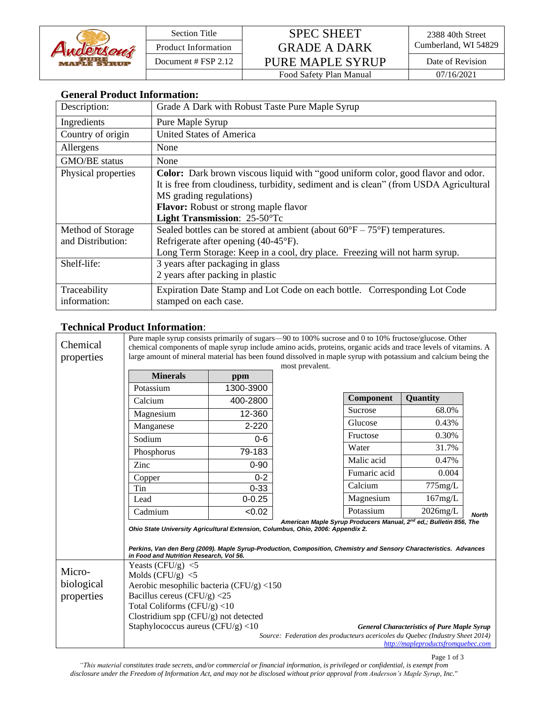

## Section Title SPEC SHEET Product Information GRADE A DARK Cumberland, WI 54829 Document # FSP 2.12 PURE MAPLE SYRUP Date of Revision

Food Safety Plan Manual 07/16/2021

|  | <b>General Product Information:</b> |  |
|--|-------------------------------------|--|
|--|-------------------------------------|--|

| Description:                           | Grade A Dark with Robust Taste Pure Maple Syrup                                                                                                                                                                                                                                      |  |  |
|----------------------------------------|--------------------------------------------------------------------------------------------------------------------------------------------------------------------------------------------------------------------------------------------------------------------------------------|--|--|
| Ingredients                            | Pure Maple Syrup                                                                                                                                                                                                                                                                     |  |  |
| Country of origin                      | <b>United States of America</b>                                                                                                                                                                                                                                                      |  |  |
| Allergens                              | None                                                                                                                                                                                                                                                                                 |  |  |
| GMO/BE status                          | None                                                                                                                                                                                                                                                                                 |  |  |
| Physical properties                    | Color: Dark brown viscous liquid with "good uniform color, good flavor and odor.<br>It is free from cloudiness, turbidity, sediment and is clean" (from USDA Agricultural<br>MS grading regulations)<br><b>Flavor:</b> Robust or strong maple flavor<br>Light Transmission: 25-50°Tc |  |  |
| Method of Storage<br>and Distribution: | Sealed bottles can be stored at ambient (about $60^{\circ}F - 75^{\circ}F$ ) temperatures.<br>Refrigerate after opening (40-45°F).<br>Long Term Storage: Keep in a cool, dry place. Freezing will not harm syrup.                                                                    |  |  |
| Shelf-life:                            | 3 years after packaging in glass<br>2 years after packing in plastic                                                                                                                                                                                                                 |  |  |
| Traceability<br>information:           | Expiration Date Stamp and Lot Code on each bottle. Corresponding Lot Code<br>stamped on each case.                                                                                                                                                                                   |  |  |

## **Technical Product Information**:

| Chemical<br>properties | Pure maple syrup consists primarily of sugars—90 to 100% sucrose and 0 to 10% fructose/glucose. Other<br>chemical components of maple syrup include amino acids, proteins, organic acids and trace levels of vitamins. A<br>large amount of mineral material has been found dissolved in maple syrup with potassium and calcium being the |            |                                                                               |              |                                    |              |  |
|------------------------|-------------------------------------------------------------------------------------------------------------------------------------------------------------------------------------------------------------------------------------------------------------------------------------------------------------------------------------------|------------|-------------------------------------------------------------------------------|--------------|------------------------------------|--------------|--|
|                        | most prevalent.<br><b>Minerals</b>                                                                                                                                                                                                                                                                                                        |            |                                                                               |              |                                    |              |  |
|                        |                                                                                                                                                                                                                                                                                                                                           | ppm        |                                                                               |              |                                    |              |  |
|                        | Potassium                                                                                                                                                                                                                                                                                                                                 | 1300-3900  |                                                                               |              |                                    |              |  |
|                        | Calcium                                                                                                                                                                                                                                                                                                                                   | 400-2800   |                                                                               | Component    | Quantity                           |              |  |
|                        | Magnesium                                                                                                                                                                                                                                                                                                                                 | 12-360     |                                                                               | Sucrose      | 68.0%                              |              |  |
|                        | Manganese                                                                                                                                                                                                                                                                                                                                 | $2 - 220$  |                                                                               | Glucose      | 0.43%                              |              |  |
|                        | Sodium                                                                                                                                                                                                                                                                                                                                    | $0-6$      |                                                                               | Fructose     | 0.30%                              |              |  |
|                        | Phosphorus                                                                                                                                                                                                                                                                                                                                | 79-183     |                                                                               | Water        | 31.7%                              |              |  |
|                        | Zinc                                                                                                                                                                                                                                                                                                                                      | $0 - 90$   |                                                                               | Malic acid   | 0.47%                              |              |  |
|                        | Copper                                                                                                                                                                                                                                                                                                                                    | $0 - 2$    |                                                                               | Fumaric acid | 0.004                              |              |  |
|                        | Tin                                                                                                                                                                                                                                                                                                                                       | $0 - 33$   |                                                                               | Calcium      | 775mg/L                            |              |  |
|                        | Lead                                                                                                                                                                                                                                                                                                                                      | $0 - 0.25$ |                                                                               | Magnesium    | 167mg/L                            |              |  |
|                        | Cadmium                                                                                                                                                                                                                                                                                                                                   | < 0.02     |                                                                               | Potassium    | $2026$ mg/L                        | <b>North</b> |  |
|                        | American Maple Syrup Producers Manual, 2 <sup>nd</sup> ed,; Bulletin 856, The<br>Ohio State University Agricultural Extension, Columbus, Ohio, 2006: Appendix 2.<br>Perkins, Van den Berg (2009). Maple Syrup-Production, Composition, Chemistry and Sensory Characteristics. Advances<br>in Food and Nutrition Research, Vol 56.         |            |                                                                               |              |                                    |              |  |
|                        | Yeasts (CFU/g) $<$ 5                                                                                                                                                                                                                                                                                                                      |            |                                                                               |              |                                    |              |  |
| Micro-                 | Molds $(CFU/g) < 5$                                                                                                                                                                                                                                                                                                                       |            |                                                                               |              |                                    |              |  |
| biological             | Aerobic mesophilic bacteria (CFU/g) $<$ 150                                                                                                                                                                                                                                                                                               |            |                                                                               |              |                                    |              |  |
| properties             | Bacillus cereus (CFU/g) $<$ 25                                                                                                                                                                                                                                                                                                            |            |                                                                               |              |                                    |              |  |
|                        | Total Coliforms $(CFU/g)$ <10                                                                                                                                                                                                                                                                                                             |            |                                                                               |              |                                    |              |  |
|                        | Clostridium spp (CFU/g) not detected                                                                                                                                                                                                                                                                                                      |            |                                                                               |              |                                    |              |  |
|                        | Staphylococcus aureus (CFU/g) <10<br><b>General Characteristics of Pure Maple Syrup</b>                                                                                                                                                                                                                                                   |            |                                                                               |              |                                    |              |  |
|                        |                                                                                                                                                                                                                                                                                                                                           |            | Source: Federation des producteurs acericoles du Quebec (Industry Sheet 2014) |              | http://mapleproductsfromquebec.com |              |  |

Page 1 of 3

*"This material constitutes trade secrets, and/or commercial or financial information, is privileged or confidential, is exempt from disclosure under the Freedom of Information Act, and may not be disclosed without prior approval from Anderson's Maple Syrup, Inc."*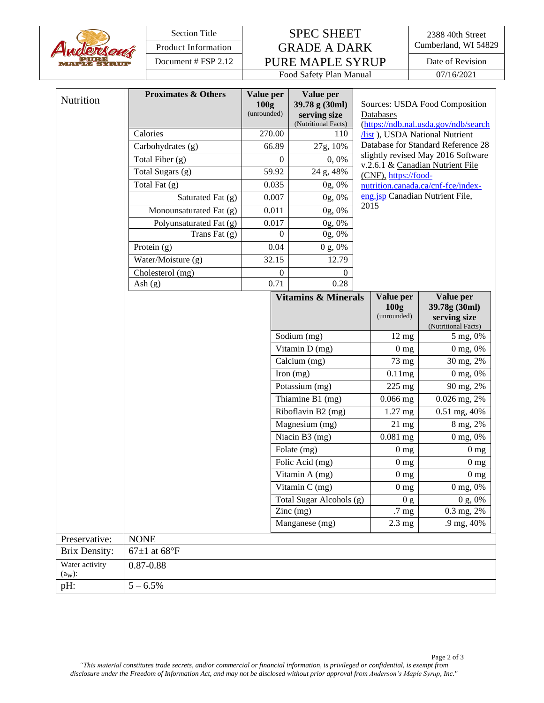| Awdersout |
|-----------|
|-----------|

| <b>Section Title</b>        |                                |                               | <b>SPEC SHEET</b>                |                  |                                             |                           | 2388 40th Street                                                         |  |
|-----------------------------|--------------------------------|-------------------------------|----------------------------------|------------------|---------------------------------------------|---------------------------|--------------------------------------------------------------------------|--|
| <b>Product Information</b>  |                                | <b>GRADE A DARK</b>           |                                  |                  |                                             | Cumberland, WI 54829      |                                                                          |  |
| Document # FSP 2.12         |                                |                               | PURE MAPLE SYRUP                 |                  |                                             | Date of Revision          |                                                                          |  |
|                             |                                |                               |                                  |                  | Food Safety Plan Manual                     |                           | 07/16/2021                                                               |  |
| Nutrition                   | <b>Proximates &amp; Others</b> |                               | Value per<br>100g<br>(unrounded) |                  | Value per<br>39.78 g (30ml)<br>serving size | Databases                 | Sources: USDA Food Composition                                           |  |
|                             |                                |                               |                                  |                  | (Nutritional Facts)                         |                           | (https://ndb.nal.usda.gov/ndb/search                                     |  |
|                             |                                | Calories                      |                                  | 270.00           | 110                                         |                           | /list), USDA National Nutrient                                           |  |
|                             |                                | Carbohydrates (g)             |                                  | 66.89            | 27g, 10%                                    |                           | Database for Standard Reference 28<br>slightly revised May 2016 Software |  |
|                             |                                | Total Fiber (g)               |                                  | $\overline{0}$   | 0,0%                                        |                           | v.2.6.1 & Canadian Nutrient File                                         |  |
|                             |                                | Total Sugars (g)              |                                  | 59.92            | 24 g, 48%                                   | (CNF), https://food-      |                                                                          |  |
|                             |                                | Total Fat $(g)$               |                                  | 0.035            | 0g, 0%                                      |                           | nutrition.canada.ca/cnf-fce/index-                                       |  |
|                             |                                | Saturated Fat (g)             |                                  | 0.007            | 0g, 0%                                      | 2015                      | eng.jsp Canadian Nutrient File,                                          |  |
|                             |                                | Monounsaturated Fat (g)       |                                  | 0.011            | 0g, 0%                                      |                           |                                                                          |  |
|                             |                                | Polyunsaturated Fat (g)       |                                  | 0.017            | 0g, 0%                                      |                           |                                                                          |  |
|                             |                                | Trans Fat $(g)$               |                                  | $\theta$         | 0g, 0%                                      |                           |                                                                          |  |
|                             |                                | Protein $(g)$                 |                                  | 0.04             | 0 g, 0%                                     |                           |                                                                          |  |
|                             |                                | Water/Moisture (g)            |                                  | 32.15            | 12.79                                       |                           |                                                                          |  |
|                             |                                | Cholesterol (mg)<br>Ash $(g)$ |                                  | $\theta$<br>0.71 | 0<br>0.28                                   |                           |                                                                          |  |
|                             |                                |                               |                                  |                  | <b>Vitamins &amp; Minerals</b>              | Value per                 | Value per                                                                |  |
|                             |                                |                               |                                  |                  |                                             | 100 <sub>g</sub>          | 39.78g (30ml)                                                            |  |
|                             |                                |                               |                                  |                  |                                             | (unrounded)               | serving size<br>(Nutritional Facts)                                      |  |
|                             |                                |                               |                                  |                  | Sodium (mg)                                 | $12 \text{ mg}$           | 5 mg, 0%                                                                 |  |
|                             |                                |                               |                                  |                  | Vitamin D (mg)                              | 0 <sub>mg</sub>           | 0 mg, 0%                                                                 |  |
|                             |                                |                               |                                  |                  | Calcium (mg)                                | 73 mg                     | 30 mg, 2%                                                                |  |
|                             |                                |                               | Iron $(mg)$                      |                  | 0.11mg                                      | 0 mg, 0%                  |                                                                          |  |
|                             |                                |                               | Potassium (mg)                   |                  | 225 mg                                      | 90 mg, 2%                 |                                                                          |  |
|                             |                                |                               | Thiamine B1 (mg)                 |                  | $0.066$ mg                                  | $0.026$ mg, $2%$          |                                                                          |  |
|                             |                                |                               | Riboflavin B2 (mg)               |                  | 1.27 mg                                     | $\overline{0.51}$ mg, 40% |                                                                          |  |
|                             |                                |                               |                                  |                  | Magnesium (mg)                              | $21 \text{ mg}$           | 8 mg, 2%                                                                 |  |
|                             |                                |                               |                                  |                  | Niacin B3 (mg)                              | $0.081$ mg                | 0 mg, 0%                                                                 |  |
|                             |                                |                               |                                  |                  | Folate (mg)                                 | 0 <sub>mg</sub>           | $0\ \mathrm{mg}$                                                         |  |
|                             |                                |                               |                                  |                  | Folic Acid (mg)                             | 0 <sub>mg</sub>           | $0 \text{ mg}$                                                           |  |
|                             |                                |                               |                                  |                  | Vitamin A (mg)                              | 0 <sub>mg</sub>           | 0 <sub>mg</sub>                                                          |  |
|                             |                                |                               |                                  |                  | Vitamin C (mg)                              | 0 <sub>mg</sub>           | 0 mg, 0%                                                                 |  |
|                             |                                |                               |                                  |                  | Total Sugar Alcohols (g)<br>Zinc (mg)       | .7 mg                     | 0 g, 0%<br>0 <sub>g</sub><br>0.3 mg, 2%                                  |  |
|                             |                                |                               |                                  |                  | Manganese (mg)                              | $2.3 \text{ mg}$          | .9 mg, 40%                                                               |  |
|                             |                                |                               |                                  |                  |                                             |                           |                                                                          |  |
| Preservative:               | <b>NONE</b>                    | $67\pm1$ at $68^{\circ}F$     |                                  |                  |                                             |                           |                                                                          |  |
| <b>Brix Density:</b>        |                                |                               |                                  |                  |                                             |                           |                                                                          |  |
| Water activity<br>$(a_W)$ : |                                | $0.87 - 0.88$                 |                                  |                  |                                             |                           |                                                                          |  |
| pH:                         |                                | $5 - 6.5\%$                   |                                  |                  |                                             |                           |                                                                          |  |